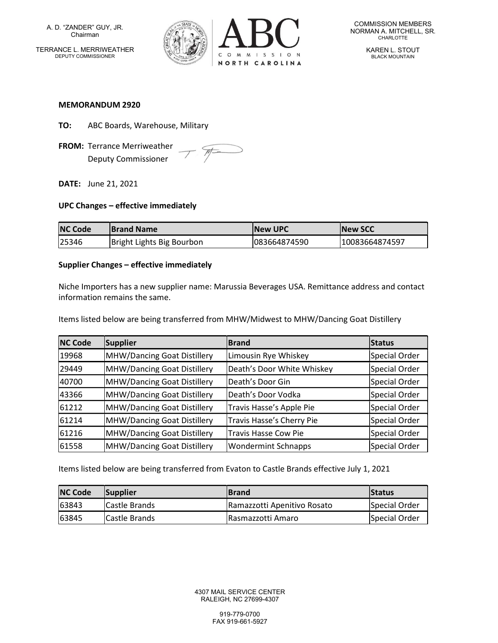A. D. "ZANDER" GUY, JR. Chairman TERRANCE L. MERRIWEATHER DEPUTY COMMISSIONER



KAREN L. STOUT BLACK MOUNTAIN

#### MEMORANDUM 2920

- TO: ABC Boards, Warehouse, Military
- FROM: Terrance Merriweather Deputy Commissioner

 $\mathcal{F}$ 

DATE: June 21, 2021

#### UPC Changes – effective immediately

| <b>NC Code</b> | <b>Brand Name</b>         | <b>INew UPC</b> | <b>INew SCC</b> |
|----------------|---------------------------|-----------------|-----------------|
| 125346         | Bright Lights Big Bourbon | 083664874590    | 10083664874597  |

### Supplier Changes – effective immediately

Niche Importers has a new supplier name: Marussia Beverages USA. Remittance address and contact information remains the same.

Items listed below are being transferred from MHW/Midwest to MHW/Dancing Goat Distillery

| <b>NC Code</b> | Supplier                    | <b>Brand</b>                | <b>Status</b> |
|----------------|-----------------------------|-----------------------------|---------------|
| 19968          | MHW/Dancing Goat Distillery | Limousin Rye Whiskey        | Special Order |
| 29449          | MHW/Dancing Goat Distillery | Death's Door White Whiskey  | Special Order |
| 40700          | MHW/Dancing Goat Distillery | Death's Door Gin            | Special Order |
| 43366          | MHW/Dancing Goat Distillery | Death's Door Vodka          | Special Order |
| 61212          | MHW/Dancing Goat Distillery | Travis Hasse's Apple Pie    | Special Order |
| 61214          | MHW/Dancing Goat Distillery | Travis Hasse's Cherry Pie   | Special Order |
| 61216          | MHW/Dancing Goat Distillery | <b>Travis Hasse Cow Pie</b> | Special Order |
| 61558          | MHW/Dancing Goat Distillery | <b>Wondermint Schnapps</b>  | Special Order |

Items listed below are being transferred from Evaton to Castle Brands effective July 1, 2021

| <b>NC Code</b> | Supplier             | <b>IBrand</b>               | <b>Status</b> |
|----------------|----------------------|-----------------------------|---------------|
| 63843          | <b>Castle Brands</b> | Ramazzotti Apenitivo Rosato | Special Order |
| 63845          | <b>Castle Brands</b> | l Rasmazzotti Amaro         | Special Order |

4307 MAIL SERVICE CENTER RALEIGH, NC 27699-4307

> 919-779-0700 FAX 919-661-5927